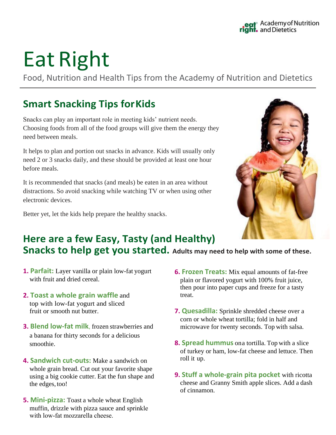# Eat Right

Food, Nutrition and Health Tips from the Academy of Nutrition and Dietetics

### **Smart Snacking Tips for Kids**

Snacks can play an important role in meeting kids' nutrient needs. Choosing foods from all of the food groups will give them the energy they need between meals.

It helps to plan and portion out snacks in advance. Kids will usually only need 2 or 3 snacks daily, and these should be provided at least one hour before meals.

It is recommended that snacks (and meals) be eaten in an area without distractions. So avoid snacking while watching TV or when using other electronic devices.

Better yet, let the kids help prepare the healthy snacks.



## **Here are a few Easy, Tasty (and Healthy)**

**Snacks to help get you started. Adults may need to help with some of these.**

- **1. Parfait:** Layer vanilla or plain low-fat yogurt with fruit and dried cereal.
- **2. Toast a whole grain waffle** and top with low-fat yogurt and sliced fruit or smooth nut butter.
- **3. Blend low-fat milk**, frozen strawberries and a banana for thirty seconds for a delicious smoothie.
- **4. Sandwich cut-outs:** Make a sandwich on whole grain bread. Cut out your favorite shape using a big cookie cutter. Eat the fun shape and the edges, too!
- **5. Mini-pizza:** Toast a whole wheat English muffin, drizzle with pizza sauce and sprinkle with low-fat mozzarella cheese
- **6. Frozen Treats:** Mix equal amounts of fat-free plain or flavored yogurt with 100% fruit juice, then pour into paper cups and freeze for a tasty treat.
- **7. Quesadilla:** Sprinkle shredded cheese over a corn or whole wheat tortilla; fold in half and microwave for twenty seconds. Top with salsa.
- **8. Spread hummus** on a tortilla. Top with a slice of turkey or ham, low-fat cheese and lettuce. Then roll it up.
- **9. Stuff a whole-grain pita pocket** with ricotta cheese and Granny Smith apple slices. Add a dash of cinnamon.